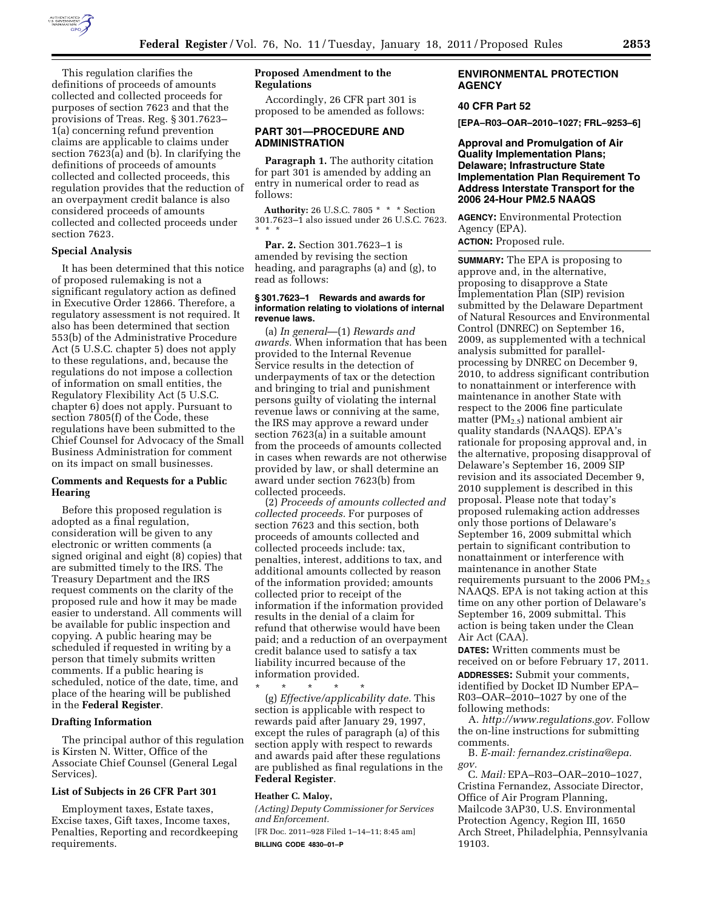

This regulation clarifies the definitions of proceeds of amounts collected and collected proceeds for purposes of section 7623 and that the provisions of Treas. Reg. § 301.7623– 1(a) concerning refund prevention claims are applicable to claims under section 7623(a) and (b). In clarifying the definitions of proceeds of amounts collected and collected proceeds, this regulation provides that the reduction of an overpayment credit balance is also considered proceeds of amounts collected and collected proceeds under section 7623.

#### **Special Analysis**

It has been determined that this notice of proposed rulemaking is not a significant regulatory action as defined in Executive Order 12866. Therefore, a regulatory assessment is not required. It also has been determined that section 553(b) of the Administrative Procedure Act (5 U.S.C. chapter 5) does not apply to these regulations, and, because the regulations do not impose a collection of information on small entities, the Regulatory Flexibility Act (5 U.S.C. chapter 6) does not apply. Pursuant to section 7805(f) of the Code, these regulations have been submitted to the Chief Counsel for Advocacy of the Small Business Administration for comment on its impact on small businesses.

# **Comments and Requests for a Public Hearing**

Before this proposed regulation is adopted as a final regulation, consideration will be given to any electronic or written comments (a signed original and eight (8) copies) that are submitted timely to the IRS. The Treasury Department and the IRS request comments on the clarity of the proposed rule and how it may be made easier to understand. All comments will be available for public inspection and copying. A public hearing may be scheduled if requested in writing by a person that timely submits written comments. If a public hearing is scheduled, notice of the date, time, and place of the hearing will be published in the **Federal Register**.

#### **Drafting Information**

The principal author of this regulation is Kirsten N. Witter, Office of the Associate Chief Counsel (General Legal Services).

### **List of Subjects in 26 CFR Part 301**

Employment taxes, Estate taxes, Excise taxes, Gift taxes, Income taxes, Penalties, Reporting and recordkeeping requirements.

## **Proposed Amendment to the Regulations**

Accordingly, 26 CFR part 301 is proposed to be amended as follows:

# **PART 301—PROCEDURE AND ADMINISTRATION**

Paragraph 1. The authority citation for part 301 is amended by adding an entry in numerical order to read as follows:

**Authority:** 26 U.S.C. 7805 \* \* \* Section 301.7623–1 also issued under 26 U.S.C. 7623. \* \* \*

**Par. 2.** Section 301.7623–1 is amended by revising the section heading, and paragraphs (a) and (g), to read as follows:

### **§ 301.7623–1 Rewards and awards for information relating to violations of internal revenue laws.**

(a) *In general*—(1) *Rewards and awards.* When information that has been provided to the Internal Revenue Service results in the detection of underpayments of tax or the detection and bringing to trial and punishment persons guilty of violating the internal revenue laws or conniving at the same, the IRS may approve a reward under section 7623(a) in a suitable amount from the proceeds of amounts collected in cases when rewards are not otherwise provided by law, or shall determine an award under section 7623(b) from collected proceeds.

(2) *Proceeds of amounts collected and collected proceeds.* For purposes of section 7623 and this section, both proceeds of amounts collected and collected proceeds include: tax, penalties, interest, additions to tax, and additional amounts collected by reason of the information provided; amounts collected prior to receipt of the information if the information provided results in the denial of a claim for refund that otherwise would have been paid; and a reduction of an overpayment credit balance used to satisfy a tax liability incurred because of the information provided.

\* \* \* \* \* (g) *Effective/applicability date.* This section is applicable with respect to rewards paid after January 29, 1997, except the rules of paragraph (a) of this section apply with respect to rewards and awards paid after these regulations are published as final regulations in the **Federal Register**.

#### **Heather C. Maloy,**

*(Acting) Deputy Commissioner for Services and Enforcement.* 

[FR Doc. 2011–928 Filed 1–14–11; 8:45 am] **BILLING CODE 4830–01–P** 

## **ENVIRONMENTAL PROTECTION AGENCY**

# **40 CFR Part 52**

**[EPA–R03–OAR–2010–1027; FRL–9253–6]** 

**Approval and Promulgation of Air Quality Implementation Plans; Delaware; Infrastructure State Implementation Plan Requirement To Address Interstate Transport for the 2006 24-Hour PM2.5 NAAQS** 

**AGENCY:** Environmental Protection Agency (EPA).

**ACTION:** Proposed rule.

**SUMMARY:** The EPA is proposing to approve and, in the alternative, proposing to disapprove a State Implementation Plan (SIP) revision submitted by the Delaware Department of Natural Resources and Environmental Control (DNREC) on September 16, 2009, as supplemented with a technical analysis submitted for parallelprocessing by DNREC on December 9, 2010, to address significant contribution to nonattainment or interference with maintenance in another State with respect to the 2006 fine particulate matter  $(PM_{2.5})$  national ambient air quality standards (NAAQS). EPA's rationale for proposing approval and, in the alternative, proposing disapproval of Delaware's September 16, 2009 SIP revision and its associated December 9, 2010 supplement is described in this proposal. Please note that today's proposed rulemaking action addresses only those portions of Delaware's September 16, 2009 submittal which pertain to significant contribution to nonattainment or interference with maintenance in another State requirements pursuant to the 2006  $PM_{2.5}$ NAAQS. EPA is not taking action at this time on any other portion of Delaware's September 16, 2009 submittal. This action is being taken under the Clean Air Act (CAA).

**DATES:** Written comments must be received on or before February 17, 2011. **ADDRESSES:** Submit your comments, identified by Docket ID Number EPA– R03–OAR–2010–1027 by one of the following methods:

A. *[http://www.regulations.gov.](http://www.regulations.gov)* Follow the on-line instructions for submitting comments.

B. *E-mail: [fernandez.cristina@epa.](mailto:fernandez.cristina@epa.gov) [gov.](mailto:fernandez.cristina@epa.gov)* 

C. *Mail:* EPA–R03–OAR–2010–1027, Cristina Fernandez, Associate Director, Office of Air Program Planning, Mailcode 3AP30, U.S. Environmental Protection Agency, Region III, 1650 Arch Street, Philadelphia, Pennsylvania 19103.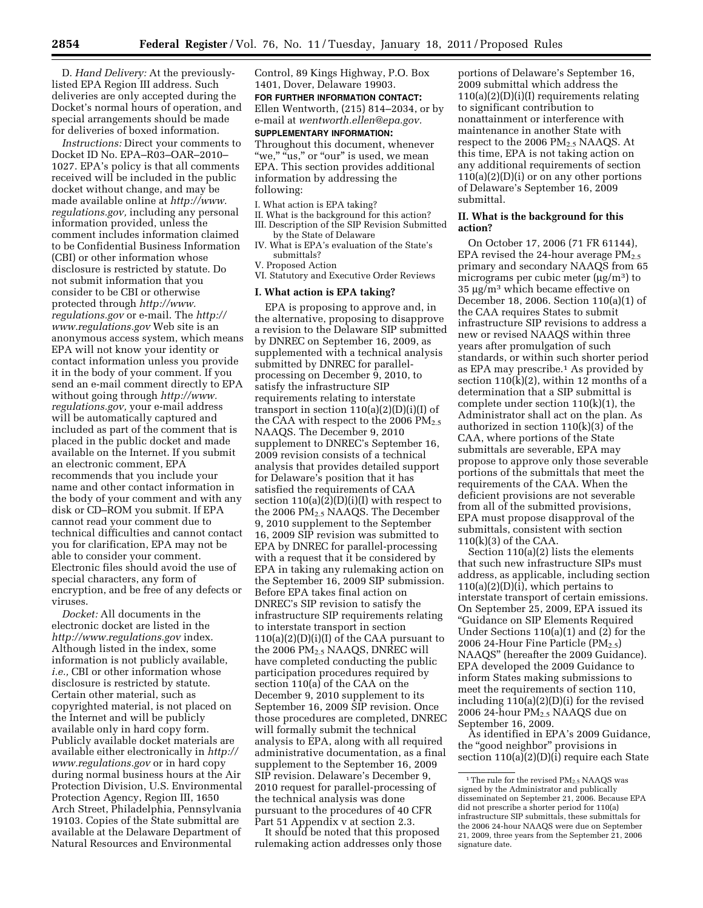D. *Hand Delivery:* At the previouslylisted EPA Region III address. Such deliveries are only accepted during the Docket's normal hours of operation, and special arrangements should be made for deliveries of boxed information.

*Instructions:* Direct your comments to Docket ID No. EPA–R03–OAR–2010– 1027. EPA's policy is that all comments received will be included in the public docket without change, and may be made available online at *[http://www.](http://www.regulations.gov) [regulations.gov,](http://www.regulations.gov)* including any personal information provided, unless the comment includes information claimed to be Confidential Business Information (CBI) or other information whose disclosure is restricted by statute. Do not submit information that you consider to be CBI or otherwise protected through *[http://www.](http://www.regulations.gov) [regulations.gov](http://www.regulations.gov)* or e-mail. The *[http://](http://www.regulations.gov) [www.regulations.gov](http://www.regulations.gov)* Web site is an anonymous access system, which means EPA will not know your identity or contact information unless you provide it in the body of your comment. If you send an e-mail comment directly to EPA without going through *[http://www.](http://www.regulations.gov) [regulations.gov,](http://www.regulations.gov)* your e-mail address will be automatically captured and included as part of the comment that is placed in the public docket and made available on the Internet. If you submit an electronic comment, EPA recommends that you include your name and other contact information in the body of your comment and with any disk or CD–ROM you submit. If EPA cannot read your comment due to technical difficulties and cannot contact you for clarification, EPA may not be able to consider your comment. Electronic files should avoid the use of special characters, any form of encryption, and be free of any defects or viruses.

*Docket:* All documents in the electronic docket are listed in the *<http://www.regulations.gov>* index. Although listed in the index, some information is not publicly available, *i.e.,* CBI or other information whose disclosure is restricted by statute. Certain other material, such as copyrighted material, is not placed on the Internet and will be publicly available only in hard copy form. Publicly available docket materials are available either electronically in *[http://](http://www.regulations.gov) [www.regulations.gov](http://www.regulations.gov)* or in hard copy during normal business hours at the Air Protection Division, U.S. Environmental Protection Agency, Region III, 1650 Arch Street, Philadelphia, Pennsylvania 19103. Copies of the State submittal are available at the Delaware Department of Natural Resources and Environmental

Control, 89 Kings Highway, P.O. Box 1401, Dover, Delaware 19903.

#### **FOR FURTHER INFORMATION CONTACT:**

Ellen Wentworth, (215) 814–2034, or by e-mail at *[wentworth.ellen@epa.gov.](mailto:wentworth.ellen@epa.gov)*  **SUPPLEMENTARY INFORMATION:** 

Throughout this document, whenever "we," "us," or "our" is used, we mean EPA. This section provides additional information by addressing the following:

- I. What action is EPA taking?
- II. What is the background for this action? III. Description of the SIP Revision Submitted
- by the State of Delaware
- IV. What is EPA's evaluation of the State's submittals?
- V. Proposed Action
- VI. Statutory and Executive Order Reviews

#### **I. What action is EPA taking?**

EPA is proposing to approve and, in the alternative, proposing to disapprove a revision to the Delaware SIP submitted by DNREC on September 16, 2009, as supplemented with a technical analysis submitted by DNREC for parallelprocessing on December 9, 2010, to satisfy the infrastructure SIP requirements relating to interstate transport in section  $110(a)(2)(D)(i)(I)$  of the CAA with respect to the 2006  $PM_{2.5}$ NAAQS. The December 9, 2010 supplement to DNREC's September 16, 2009 revision consists of a technical analysis that provides detailed support for Delaware's position that it has satisfied the requirements of CAA section  $110(a)(2)(D)(i)(I)$  with respect to the 2006 PM2.5 NAAQS. The December 9, 2010 supplement to the September 16, 2009 SIP revision was submitted to EPA by DNREC for parallel-processing with a request that it be considered by EPA in taking any rulemaking action on the September 16, 2009 SIP submission. Before EPA takes final action on DNREC's SIP revision to satisfy the infrastructure SIP requirements relating to interstate transport in section  $110(a)(2)(D)(i)(I)$  of the CAA pursuant to the 2006 PM2.5 NAAQS, DNREC will have completed conducting the public participation procedures required by section 110(a) of the CAA on the December 9, 2010 supplement to its September 16, 2009 SIP revision. Once those procedures are completed, DNREC will formally submit the technical analysis to EPA, along with all required administrative documentation, as a final supplement to the September 16, 2009 SIP revision. Delaware's December 9, 2010 request for parallel-processing of the technical analysis was done pursuant to the procedures of 40 CFR Part 51 Appendix v at section 2.3.

It should be noted that this proposed rulemaking action addresses only those

portions of Delaware's September 16, 2009 submittal which address the  $110(a)(2)(D)(i)(I)$  requirements relating to significant contribution to nonattainment or interference with maintenance in another State with respect to the 2006 PM2.5 NAAQS. At this time, EPA is not taking action on any additional requirements of section  $110(a)(2)(D)(i)$  or on any other portions of Delaware's September 16, 2009 submittal.

### **II. What is the background for this action?**

On October 17, 2006 (71 FR 61144), EPA revised the 24-hour average  $PM_{2.5}$ primary and secondary NAAQS from 65 micrograms per cubic meter  $(\mu g/m^3)$  to 35 μg/m3 which became effective on December 18, 2006. Section 110(a)(1) of the CAA requires States to submit infrastructure SIP revisions to address a new or revised NAAQS within three years after promulgation of such standards, or within such shorter period as EPA may prescribe.1 As provided by section  $110(k)(2)$ , within 12 months of a determination that a SIP submittal is complete under section 110(k)(1), the Administrator shall act on the plan. As authorized in section 110(k)(3) of the CAA, where portions of the State submittals are severable, EPA may propose to approve only those severable portions of the submittals that meet the requirements of the CAA. When the deficient provisions are not severable from all of the submitted provisions, EPA must propose disapproval of the submittals, consistent with section 110(k)(3) of the CAA.

Section 110(a)(2) lists the elements that such new infrastructure SIPs must address, as applicable, including section  $110(a)(2)(D)(i)$ , which pertains to interstate transport of certain emissions. On September 25, 2009, EPA issued its ''Guidance on SIP Elements Required Under Sections 110(a)(1) and (2) for the 2006 24-Hour Fine Particle  $(PM_{2.5})$ NAAQS'' (hereafter the 2009 Guidance). EPA developed the 2009 Guidance to inform States making submissions to meet the requirements of section 110, including 110(a)(2)(D)(i) for the revised 2006 24-hour PM2.5 NAAQS due on September 16, 2009.

As identified in EPA's 2009 Guidance, the ''good neighbor'' provisions in section  $110(a)(2)(D)(i)$  require each State

<sup>&</sup>lt;sup>1</sup> The rule for the revised PM<sub>2.5</sub> NAAQS was signed by the Administrator and publically disseminated on September 21, 2006. Because EPA did not prescribe a shorter period for 110(a) infrastructure SIP submittals, these submittals for the 2006 24-hour NAAQS were due on September 21, 2009, three years from the September 21, 2006 signature date.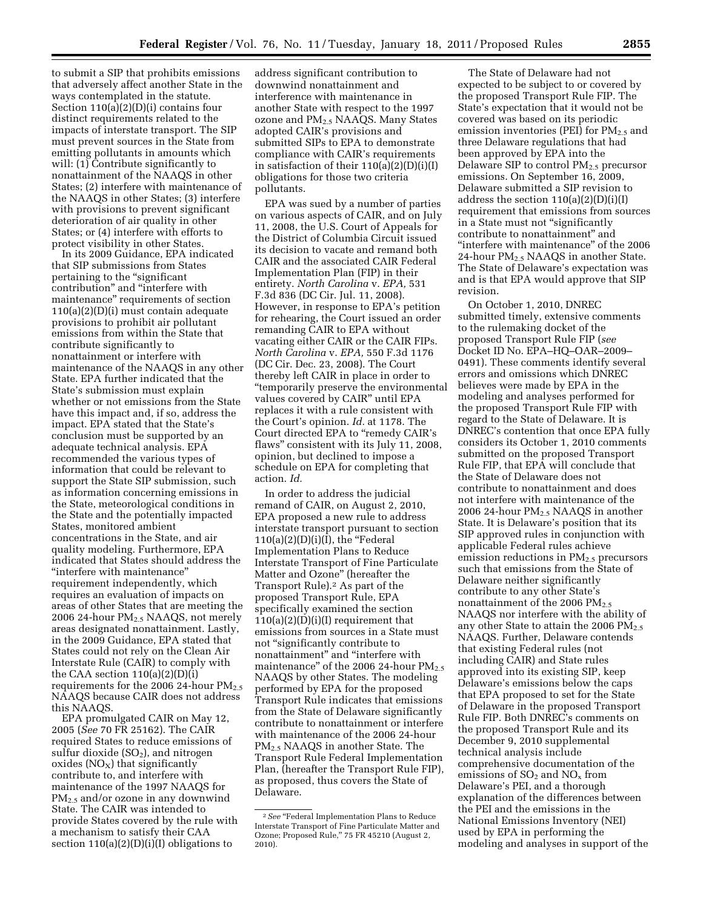to submit a SIP that prohibits emissions that adversely affect another State in the ways contemplated in the statute. Section 110(a)(2)(D)(i) contains four distinct requirements related to the impacts of interstate transport. The SIP must prevent sources in the State from emitting pollutants in amounts which will: (1) Contribute significantly to nonattainment of the NAAQS in other States; (2) interfere with maintenance of the NAAQS in other States; (3) interfere with provisions to prevent significant deterioration of air quality in other States; or (4) interfere with efforts to protect visibility in other States.

In its 2009 Guidance, EPA indicated that SIP submissions from States pertaining to the "significant contribution'' and ''interfere with maintenance'' requirements of section 110(a)(2)(D)(i) must contain adequate provisions to prohibit air pollutant emissions from within the State that contribute significantly to nonattainment or interfere with maintenance of the NAAQS in any other State. EPA further indicated that the State's submission must explain whether or not emissions from the State have this impact and, if so, address the impact. EPA stated that the State's conclusion must be supported by an adequate technical analysis. EPA recommended the various types of information that could be relevant to support the State SIP submission, such as information concerning emissions in the State, meteorological conditions in the State and the potentially impacted States, monitored ambient concentrations in the State, and air quality modeling. Furthermore, EPA indicated that States should address the ''interfere with maintenance'' requirement independently, which requires an evaluation of impacts on areas of other States that are meeting the 2006 24-hour  $PM<sub>2.5</sub> NAAQS$ , not merely areas designated nonattainment. Lastly, in the 2009 Guidance, EPA stated that States could not rely on the Clean Air Interstate Rule (CAIR) to comply with the CAA section  $110(a)(2)(D)(i)$ requirements for the 2006 24-hour  $PM_{2.5}$ NAAQS because CAIR does not address this NAAQS.

EPA promulgated CAIR on May 12, 2005 (*See* 70 FR 25162). The CAIR required States to reduce emissions of sulfur dioxide  $(SO<sub>2</sub>)$ , and nitrogen oxides ( $NO<sub>X</sub>$ ) that significantly contribute to, and interfere with maintenance of the 1997 NAAQS for PM2.5 and/or ozone in any downwind State. The CAIR was intended to provide States covered by the rule with a mechanism to satisfy their CAA section  $110(a)(2)(D)(i)(I)$  obligations to

address significant contribution to downwind nonattainment and interference with maintenance in another State with respect to the 1997 ozone and PM2.5 NAAQS. Many States adopted CAIR's provisions and submitted SIPs to EPA to demonstrate compliance with CAIR's requirements in satisfaction of their  $110(a)(2)(D)(i)(I)$ obligations for those two criteria pollutants.

EPA was sued by a number of parties on various aspects of CAIR, and on July 11, 2008, the U.S. Court of Appeals for the District of Columbia Circuit issued its decision to vacate and remand both CAIR and the associated CAIR Federal Implementation Plan (FIP) in their entirety. *North Carolina* v. *EPA,* 531 F.3d 836 (DC Cir. Jul. 11, 2008). However, in response to EPA's petition for rehearing, the Court issued an order remanding CAIR to EPA without vacating either CAIR or the CAIR FIPs. *North Carolina* v. *EPA,* 550 F.3d 1176 (DC Cir. Dec. 23, 2008). The Court thereby left CAIR in place in order to ''temporarily preserve the environmental values covered by CAIR'' until EPA replaces it with a rule consistent with the Court's opinion. *Id.* at 1178. The Court directed EPA to ''remedy CAIR's flaws'' consistent with its July 11, 2008, opinion, but declined to impose a schedule on EPA for completing that action. *Id.* 

In order to address the judicial remand of CAIR, on August 2, 2010, EPA proposed a new rule to address interstate transport pursuant to section  $110(a)(2)(D)(i)(I)$ , the "Federal Implementation Plans to Reduce Interstate Transport of Fine Particulate Matter and Ozone'' (hereafter the Transport Rule).<sup>2</sup> As part of the proposed Transport Rule, EPA specifically examined the section 110(a)(2)(D)(i)(I) requirement that emissions from sources in a State must not ''significantly contribute to nonattainment'' and ''interfere with maintenance" of the 2006 24-hour  $PM_{2.5}$ NAAQS by other States. The modeling performed by EPA for the proposed Transport Rule indicates that emissions from the State of Delaware significantly contribute to nonattainment or interfere with maintenance of the 2006 24-hour PM2.5 NAAQS in another State. The Transport Rule Federal Implementation Plan, (hereafter the Transport Rule FIP), as proposed, thus covers the State of Delaware.

The State of Delaware had not expected to be subject to or covered by the proposed Transport Rule FIP. The State's expectation that it would not be covered was based on its periodic emission inventories (PEI) for  $PM_{2.5}$  and three Delaware regulations that had been approved by EPA into the Delaware SIP to control PM<sub>2.5</sub> precursor emissions. On September 16, 2009, Delaware submitted a SIP revision to address the section  $110(a)(2)(D)(i)(I)$ requirement that emissions from sources in a State must not "significantly" contribute to nonattainment'' and ''interfere with maintenance'' of the 2006 24-hour  $PM<sub>2.5</sub> NAAGS$  in another State. The State of Delaware's expectation was and is that EPA would approve that SIP revision.

On October 1, 2010, DNREC submitted timely, extensive comments to the rulemaking docket of the proposed Transport Rule FIP (*see*  Docket ID No. EPA–HQ–OAR–2009– 0491). These comments identify several errors and omissions which DNREC believes were made by EPA in the modeling and analyses performed for the proposed Transport Rule FIP with regard to the State of Delaware. It is DNREC's contention that once EPA fully considers its October 1, 2010 comments submitted on the proposed Transport Rule FIP, that EPA will conclude that the State of Delaware does not contribute to nonattainment and does not interfere with maintenance of the 2006 24-hour  $PM<sub>2.5</sub> NAAQS$  in another State. It is Delaware's position that its SIP approved rules in conjunction with applicable Federal rules achieve emission reductions in  $PM_{2.5}$  precursors such that emissions from the State of Delaware neither significantly contribute to any other State's nonattainment of the 2006 PM<sub>2.5</sub> NAAQS nor interfere with the ability of any other State to attain the 2006  $PM_{2.5}$ NAAQS. Further, Delaware contends that existing Federal rules (not including CAIR) and State rules approved into its existing SIP, keep Delaware's emissions below the caps that EPA proposed to set for the State of Delaware in the proposed Transport Rule FIP. Both DNREC's comments on the proposed Transport Rule and its December 9, 2010 supplemental technical analysis include comprehensive documentation of the emissions of  $SO<sub>2</sub>$  and  $NO<sub>x</sub>$  from Delaware's PEI, and a thorough explanation of the differences between the PEI and the emissions in the National Emissions Inventory (NEI) used by EPA in performing the modeling and analyses in support of the

<sup>2</sup>*See* ''Federal Implementation Plans to Reduce Interstate Transport of Fine Particulate Matter and Ozone; Proposed Rule,'' 75 FR 45210 (August 2, 2010).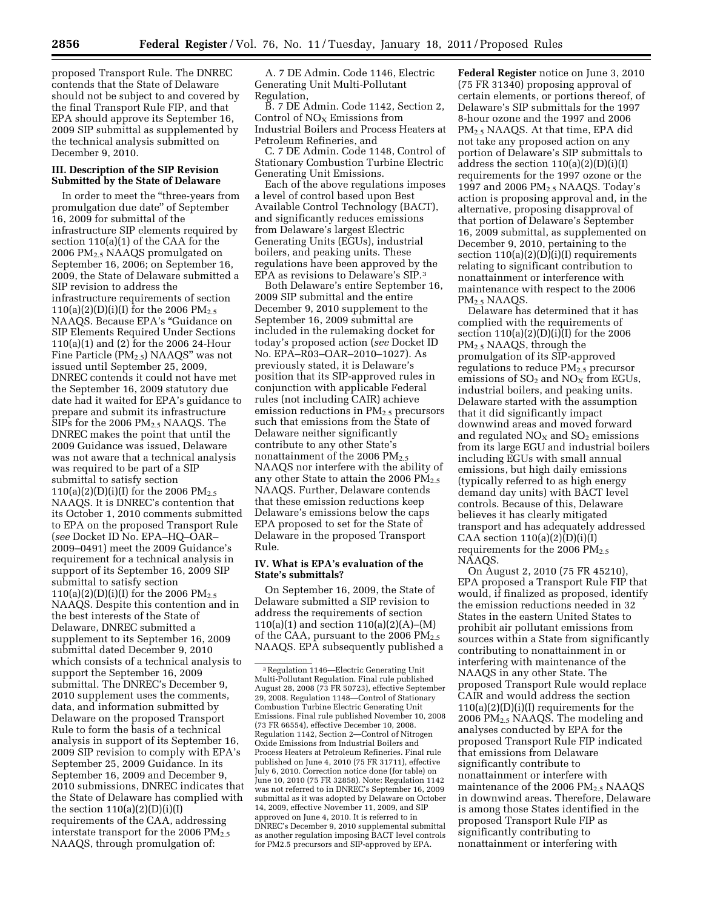proposed Transport Rule. The DNREC contends that the State of Delaware should not be subject to and covered by the final Transport Rule FIP, and that EPA should approve its September 16, 2009 SIP submittal as supplemented by the technical analysis submitted on December 9, 2010.

# **III. Description of the SIP Revision Submitted by the State of Delaware**

In order to meet the ''three-years from promulgation due date'' of September 16, 2009 for submittal of the infrastructure SIP elements required by section 110(a)(1) of the CAA for the 2006 PM2.5 NAAQS promulgated on September 16, 2006; on September 16, 2009, the State of Delaware submitted a SIP revision to address the infrastructure requirements of section 110(a)(2)(D)(i)(I) for the 2006  $PM_{2.5}$ NAAQS. Because EPA's ''Guidance on SIP Elements Required Under Sections 110(a)(1) and (2) for the 2006 24-Hour Fine Particle (PM<sub>2.5</sub>) NAAQS" was not issued until September 25, 2009, DNREC contends it could not have met the September 16, 2009 statutory due date had it waited for EPA's guidance to prepare and submit its infrastructure SIPs for the 2006 PM2.5 NAAQS. The DNREC makes the point that until the 2009 Guidance was issued, Delaware was not aware that a technical analysis was required to be part of a SIP submittal to satisfy section 110(a)(2)(D)(i)(I) for the 2006  $PM_{2.5}$ NAAQS. It is DNREC's contention that its October 1, 2010 comments submitted to EPA on the proposed Transport Rule (*see* Docket ID No. EPA–HQ–OAR– 2009–0491) meet the 2009 Guidance's requirement for a technical analysis in support of its September 16, 2009 SIP submittal to satisfy section 110(a)(2)(D)(i)(I) for the 2006  $PM_{2.5}$ NAAQS. Despite this contention and in the best interests of the State of Delaware, DNREC submitted a supplement to its September 16, 2009 submittal dated December 9, 2010 which consists of a technical analysis to support the September 16, 2009 submittal. The DNREC's December 9, 2010 supplement uses the comments, data, and information submitted by Delaware on the proposed Transport Rule to form the basis of a technical analysis in support of its September 16, 2009 SIP revision to comply with EPA's September 25, 2009 Guidance. In its September 16, 2009 and December 9, 2010 submissions, DNREC indicates that the State of Delaware has complied with the section  $110(a)(2)(D)(i)(I)$ requirements of the CAA, addressing interstate transport for the 2006  $PM_{2.5}$ NAAQS, through promulgation of:

A. 7 DE Admin. Code 1146, Electric Generating Unit Multi-Pollutant Regulation,

B. 7 DE Admin. Code 1142, Section 2, Control of  $NO<sub>x</sub>$  Emissions from Industrial Boilers and Process Heaters at Petroleum Refineries, and

C. 7 DE Admin. Code 1148, Control of Stationary Combustion Turbine Electric Generating Unit Emissions.

Each of the above regulations imposes a level of control based upon Best Available Control Technology (BACT), and significantly reduces emissions from Delaware's largest Electric Generating Units (EGUs), industrial boilers, and peaking units. These regulations have been approved by the EPA as revisions to Delaware's SIP.3

Both Delaware's entire September 16, 2009 SIP submittal and the entire December 9, 2010 supplement to the September 16, 2009 submittal are included in the rulemaking docket for today's proposed action (*see* Docket ID No. EPA–R03–OAR–2010–1027). As previously stated, it is Delaware's position that its SIP-approved rules in conjunction with applicable Federal rules (not including CAIR) achieve emission reductions in  $PM<sub>2.5</sub>$  precursors such that emissions from the State of Delaware neither significantly contribute to any other State's nonattainment of the 2006 PM<sub>2.5</sub> NAAQS nor interfere with the ability of any other State to attain the 2006  $PM_{2.5}$ NAAQS. Further, Delaware contends that these emission reductions keep Delaware's emissions below the caps EPA proposed to set for the State of Delaware in the proposed Transport Rule.

### **IV. What is EPA's evaluation of the State's submittals?**

On September 16, 2009, the State of Delaware submitted a SIP revision to address the requirements of section 110(a)(1) and section 110(a)(2)(A)–(M) of the CAA, pursuant to the 2006 PM<sub>2.5</sub> NAAQS. EPA subsequently published a

**Federal Register** notice on June 3, 2010 (75 FR 31340) proposing approval of certain elements, or portions thereof, of Delaware's SIP submittals for the 1997 8-hour ozone and the 1997 and 2006 PM2.5 NAAQS. At that time, EPA did not take any proposed action on any portion of Delaware's SIP submittals to address the section  $110(a)(2)(D)(i)(I)$ requirements for the 1997 ozone or the 1997 and 2006 PM2.5 NAAQS. Today's action is proposing approval and, in the alternative, proposing disapproval of that portion of Delaware's September 16, 2009 submittal, as supplemented on December 9, 2010, pertaining to the section 110(a)(2)(D)(i)(I) requirements relating to significant contribution to nonattainment or interference with maintenance with respect to the 2006 PM2.5 NAAQS.

Delaware has determined that it has complied with the requirements of section  $110(a)(2)(D)(i)(I)$  for the 2006 PM2.5 NAAQS, through the promulgation of its SIP-approved regulations to reduce  $PM_{2.5}$  precursor emissions of  $SO<sub>2</sub>$  and  $NO<sub>X</sub>$  from EGUs, industrial boilers, and peaking units. Delaware started with the assumption that it did significantly impact downwind areas and moved forward and regulated  $NO<sub>X</sub>$  and  $SO<sub>2</sub>$  emissions from its large EGU and industrial boilers including EGUs with small annual emissions, but high daily emissions (typically referred to as high energy demand day units) with BACT level controls. Because of this, Delaware believes it has clearly mitigated transport and has adequately addressed CAA section  $110(a)(2)(D)(i)(I)$ requirements for the 2006  $PM_{2.5}$ NAAQS.

On August 2, 2010 (75 FR 45210), EPA proposed a Transport Rule FIP that would, if finalized as proposed, identify the emission reductions needed in 32 States in the eastern United States to prohibit air pollutant emissions from sources within a State from significantly contributing to nonattainment in or interfering with maintenance of the NAAQS in any other State. The proposed Transport Rule would replace CAIR and would address the section  $110(a)(2)(D)(i)(I)$  requirements for the 2006 PM2.5 NAAQS. The modeling and analyses conducted by EPA for the proposed Transport Rule FIP indicated that emissions from Delaware significantly contribute to nonattainment or interfere with maintenance of the 2006  $PM<sub>2.5</sub> NAAQS$ in downwind areas. Therefore, Delaware is among those States identified in the proposed Transport Rule FIP as significantly contributing to nonattainment or interfering with

<sup>3</sup>Regulation 1146—Electric Generating Unit Multi-Pollutant Regulation. Final rule published August 28, 2008 (73 FR 50723), effective September 29, 2008. Regulation 1148—Control of Stationary Combustion Turbine Electric Generating Unit Emissions. Final rule published November 10, 2008 (73 FR 66554), effective December 10, 2008. Regulation 1142, Section 2—Control of Nitrogen Oxide Emissions from Industrial Boilers and Process Heaters at Petroleum Refineries. Final rule published on June 4, 2010 (75 FR 31711), effective July 6, 2010. Correction notice done (for table) on June 10, 2010 (75 FR 32858). Note: Regulation 1142 was not referred to in DNREC's September 16, 2009 submittal as it was adopted by Delaware on October 14, 2009, effective November 11, 2009, and SIP approved on June 4, 2010. It is referred to in DNREC's December 9, 2010 supplemental submittal as another regulation imposing BACT level controls for PM2.5 precursors and SIP-approved by EPA.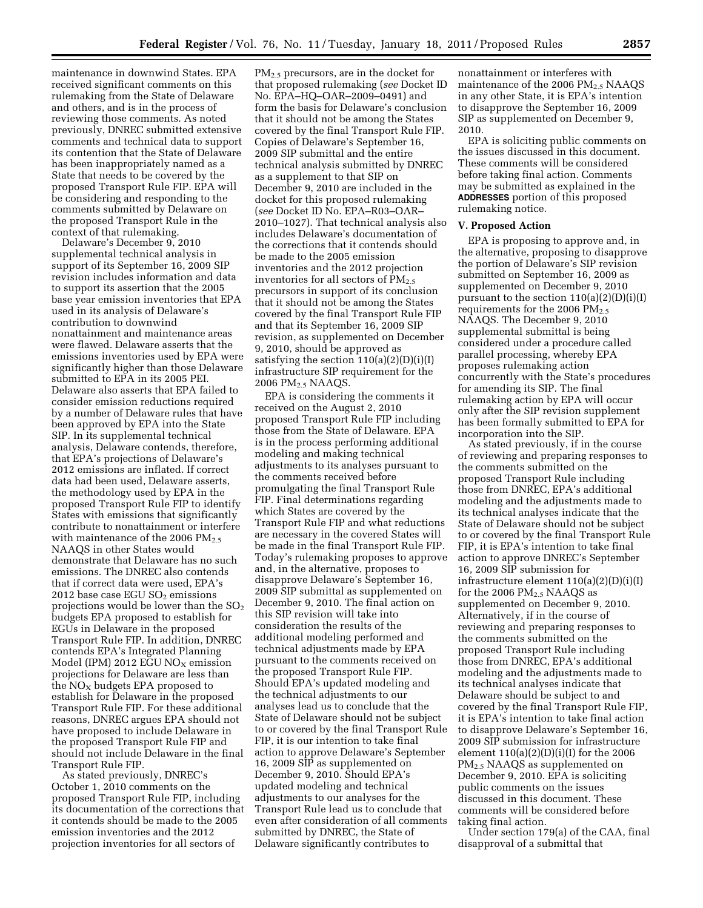maintenance in downwind States. EPA received significant comments on this rulemaking from the State of Delaware and others, and is in the process of reviewing those comments. As noted previously, DNREC submitted extensive comments and technical data to support its contention that the State of Delaware has been inappropriately named as a State that needs to be covered by the proposed Transport Rule FIP. EPA will be considering and responding to the comments submitted by Delaware on the proposed Transport Rule in the context of that rulemaking.

Delaware's December 9, 2010 supplemental technical analysis in support of its September 16, 2009 SIP revision includes information and data to support its assertion that the 2005 base year emission inventories that EPA used in its analysis of Delaware's contribution to downwind nonattainment and maintenance areas were flawed. Delaware asserts that the emissions inventories used by EPA were significantly higher than those Delaware submitted to EPA in its 2005 PEI. Delaware also asserts that EPA failed to consider emission reductions required by a number of Delaware rules that have been approved by EPA into the State SIP. In its supplemental technical analysis, Delaware contends, therefore, that EPA's projections of Delaware's 2012 emissions are inflated. If correct data had been used, Delaware asserts, the methodology used by EPA in the proposed Transport Rule FIP to identify States with emissions that significantly contribute to nonattainment or interfere with maintenance of the 2006  $PM_{2.5}$ NAAQS in other States would demonstrate that Delaware has no such emissions. The DNREC also contends that if correct data were used, EPA's 2012 base case EGU  $SO<sub>2</sub>$  emissions projections would be lower than the  $SO<sub>2</sub>$ budgets EPA proposed to establish for EGUs in Delaware in the proposed Transport Rule FIP. In addition, DNREC contends EPA's Integrated Planning Model (IPM) 2012 EGU  $NO<sub>X</sub>$  emission projections for Delaware are less than the  $NO<sub>X</sub>$  budgets EPA proposed to establish for Delaware in the proposed Transport Rule FIP. For these additional reasons, DNREC argues EPA should not have proposed to include Delaware in the proposed Transport Rule FIP and should not include Delaware in the final Transport Rule FIP.

As stated previously, DNREC's October 1, 2010 comments on the proposed Transport Rule FIP, including its documentation of the corrections that it contends should be made to the 2005 emission inventories and the 2012 projection inventories for all sectors of

PM2.5 precursors, are in the docket for that proposed rulemaking (*see* Docket ID No. EPA–HQ–OAR–2009–0491) and form the basis for Delaware's conclusion that it should not be among the States covered by the final Transport Rule FIP. Copies of Delaware's September 16, 2009 SIP submittal and the entire technical analysis submitted by DNREC as a supplement to that SIP on December 9, 2010 are included in the docket for this proposed rulemaking (*see* Docket ID No. EPA–R03–OAR– 2010–1027). That technical analysis also includes Delaware's documentation of the corrections that it contends should be made to the 2005 emission inventories and the 2012 projection inventories for all sectors of PM2.5 precursors in support of its conclusion that it should not be among the States covered by the final Transport Rule FIP and that its September 16, 2009 SIP revision, as supplemented on December 9, 2010, should be approved as satisfying the section  $110(a)(2)(D)(i)(I)$ infrastructure SIP requirement for the 2006 PM2.5 NAAQS.

EPA is considering the comments it received on the August 2, 2010 proposed Transport Rule FIP including those from the State of Delaware. EPA is in the process performing additional modeling and making technical adjustments to its analyses pursuant to the comments received before promulgating the final Transport Rule FIP. Final determinations regarding which States are covered by the Transport Rule FIP and what reductions are necessary in the covered States will be made in the final Transport Rule FIP. Today's rulemaking proposes to approve and, in the alternative, proposes to disapprove Delaware's September 16, 2009 SIP submittal as supplemented on December 9, 2010. The final action on this SIP revision will take into consideration the results of the additional modeling performed and technical adjustments made by EPA pursuant to the comments received on the proposed Transport Rule FIP. Should EPA's updated modeling and the technical adjustments to our analyses lead us to conclude that the State of Delaware should not be subject to or covered by the final Transport Rule FIP, it is our intention to take final action to approve Delaware's September 16, 2009 SIP as supplemented on December 9, 2010. Should EPA's updated modeling and technical adjustments to our analyses for the Transport Rule lead us to conclude that even after consideration of all comments submitted by DNREC, the State of Delaware significantly contributes to

nonattainment or interferes with maintenance of the 2006  $PM<sub>2.5</sub> NAAOS$ in any other State, it is EPA's intention to disapprove the September 16, 2009 SIP as supplemented on December 9, 2010.

EPA is soliciting public comments on the issues discussed in this document. These comments will be considered before taking final action. Comments may be submitted as explained in the **ADDRESSES** portion of this proposed rulemaking notice.

## **V. Proposed Action**

EPA is proposing to approve and, in the alternative, proposing to disapprove the portion of Delaware's SIP revision submitted on September 16, 2009 as supplemented on December 9, 2010 pursuant to the section  $110(a)(2)(D)(i)(I)$ requirements for the 2006 PM<sub>2.5</sub> NAAQS. The December 9, 2010 supplemental submittal is being considered under a procedure called parallel processing, whereby EPA proposes rulemaking action concurrently with the State's procedures for amending its SIP. The final rulemaking action by EPA will occur only after the SIP revision supplement has been formally submitted to EPA for incorporation into the SIP.

As stated previously, if in the course of reviewing and preparing responses to the comments submitted on the proposed Transport Rule including those from DNREC, EPA's additional modeling and the adjustments made to its technical analyses indicate that the State of Delaware should not be subject to or covered by the final Transport Rule FIP, it is EPA's intention to take final action to approve DNREC's September 16, 2009 SIP submission for infrastructure element 110(a)(2)(D)(i)(I) for the 2006  $PM<sub>2.5</sub> NAAQS$  as supplemented on December 9, 2010. Alternatively, if in the course of reviewing and preparing responses to the comments submitted on the proposed Transport Rule including those from DNREC, EPA's additional modeling and the adjustments made to its technical analyses indicate that Delaware should be subject to and covered by the final Transport Rule FIP, it is EPA's intention to take final action to disapprove Delaware's September 16, 2009 SIP submission for infrastructure element  $110(a)(2)(D)(i)(I)$  for the 2006 PM2.5 NAAQS as supplemented on December 9, 2010. EPA is soliciting public comments on the issues discussed in this document. These comments will be considered before taking final action.

Under section 179(a) of the CAA, final disapproval of a submittal that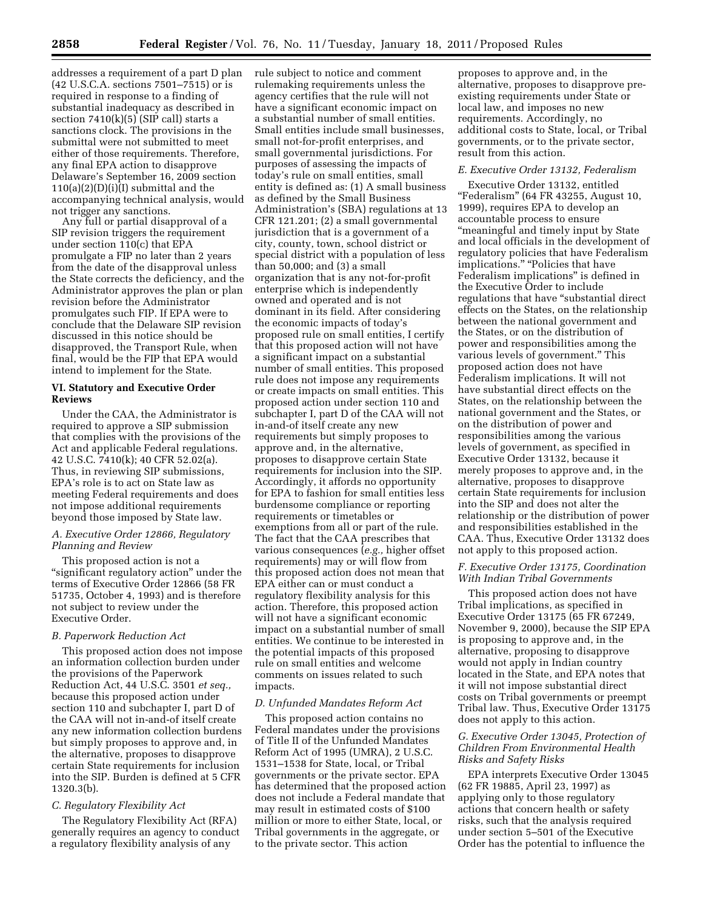addresses a requirement of a part D plan (42 U.S.C.A. sections 7501–7515) or is required in response to a finding of substantial inadequacy as described in section 7410(k)(5) (SIP call) starts a sanctions clock. The provisions in the submittal were not submitted to meet either of those requirements. Therefore, any final EPA action to disapprove Delaware's September 16, 2009 section  $110(a)(2)(D)(i)\bar{I}$  submittal and the accompanying technical analysis, would not trigger any sanctions.

Any full or partial disapproval of a SIP revision triggers the requirement under section 110(c) that EPA promulgate a FIP no later than 2 years from the date of the disapproval unless the State corrects the deficiency, and the Administrator approves the plan or plan revision before the Administrator promulgates such FIP. If EPA were to conclude that the Delaware SIP revision discussed in this notice should be disapproved, the Transport Rule, when final, would be the FIP that EPA would intend to implement for the State.

## **VI. Statutory and Executive Order Reviews**

Under the CAA, the Administrator is required to approve a SIP submission that complies with the provisions of the Act and applicable Federal regulations. 42 U.S.C. 7410(k); 40 CFR 52.02(a). Thus, in reviewing SIP submissions, EPA's role is to act on State law as meeting Federal requirements and does not impose additional requirements beyond those imposed by State law.

## *A. Executive Order 12866, Regulatory Planning and Review*

This proposed action is not a "significant regulatory action" under the terms of Executive Order 12866 (58 FR 51735, October 4, 1993) and is therefore not subject to review under the Executive Order.

## *B. Paperwork Reduction Act*

This proposed action does not impose an information collection burden under the provisions of the Paperwork Reduction Act, 44 U.S.C. 3501 *et seq.,*  because this proposed action under section 110 and subchapter I, part D of the CAA will not in-and-of itself create any new information collection burdens but simply proposes to approve and, in the alternative, proposes to disapprove certain State requirements for inclusion into the SIP. Burden is defined at 5 CFR 1320.3(b).

### *C. Regulatory Flexibility Act*

The Regulatory Flexibility Act (RFA) generally requires an agency to conduct a regulatory flexibility analysis of any

rule subject to notice and comment rulemaking requirements unless the agency certifies that the rule will not have a significant economic impact on a substantial number of small entities. Small entities include small businesses, small not-for-profit enterprises, and small governmental jurisdictions. For purposes of assessing the impacts of today's rule on small entities, small entity is defined as: (1) A small business as defined by the Small Business Administration's (SBA) regulations at 13 CFR 121.201; (2) a small governmental jurisdiction that is a government of a city, county, town, school district or special district with a population of less than 50,000; and (3) a small organization that is any not-for-profit enterprise which is independently owned and operated and is not dominant in its field. After considering the economic impacts of today's proposed rule on small entities, I certify that this proposed action will not have a significant impact on a substantial number of small entities. This proposed rule does not impose any requirements or create impacts on small entities. This proposed action under section 110 and subchapter I, part D of the CAA will not in-and-of itself create any new requirements but simply proposes to approve and, in the alternative, proposes to disapprove certain State requirements for inclusion into the SIP. Accordingly, it affords no opportunity for EPA to fashion for small entities less burdensome compliance or reporting requirements or timetables or exemptions from all or part of the rule. The fact that the CAA prescribes that various consequences (*e.g.,* higher offset requirements) may or will flow from this proposed action does not mean that EPA either can or must conduct a regulatory flexibility analysis for this action. Therefore, this proposed action will not have a significant economic impact on a substantial number of small entities. We continue to be interested in the potential impacts of this proposed rule on small entities and welcome comments on issues related to such impacts.

### *D. Unfunded Mandates Reform Act*

This proposed action contains no Federal mandates under the provisions of Title II of the Unfunded Mandates Reform Act of 1995 (UMRA), 2 U.S.C. 1531–1538 for State, local, or Tribal governments or the private sector. EPA has determined that the proposed action does not include a Federal mandate that may result in estimated costs of \$100 million or more to either State, local, or Tribal governments in the aggregate, or to the private sector. This action

proposes to approve and, in the alternative, proposes to disapprove preexisting requirements under State or local law, and imposes no new requirements. Accordingly, no additional costs to State, local, or Tribal governments, or to the private sector, result from this action.

### *E. Executive Order 13132, Federalism*

Executive Order 13132, entitled ''Federalism'' (64 FR 43255, August 10, 1999), requires EPA to develop an accountable process to ensure ''meaningful and timely input by State and local officials in the development of regulatory policies that have Federalism implications." "Policies that have Federalism implications'' is defined in the Executive Order to include regulations that have ''substantial direct effects on the States, on the relationship between the national government and the States, or on the distribution of power and responsibilities among the various levels of government.'' This proposed action does not have Federalism implications. It will not have substantial direct effects on the States, on the relationship between the national government and the States, or on the distribution of power and responsibilities among the various levels of government, as specified in Executive Order 13132, because it merely proposes to approve and, in the alternative, proposes to disapprove certain State requirements for inclusion into the SIP and does not alter the relationship or the distribution of power and responsibilities established in the CAA. Thus, Executive Order 13132 does not apply to this proposed action.

### *F. Executive Order 13175, Coordination With Indian Tribal Governments*

This proposed action does not have Tribal implications, as specified in Executive Order 13175 (65 FR 67249, November 9, 2000), because the SIP EPA is proposing to approve and, in the alternative, proposing to disapprove would not apply in Indian country located in the State, and EPA notes that it will not impose substantial direct costs on Tribal governments or preempt Tribal law. Thus, Executive Order 13175 does not apply to this action.

# *G. Executive Order 13045, Protection of Children From Environmental Health Risks and Safety Risks*

EPA interprets Executive Order 13045 (62 FR 19885, April 23, 1997) as applying only to those regulatory actions that concern health or safety risks, such that the analysis required under section 5–501 of the Executive Order has the potential to influence the